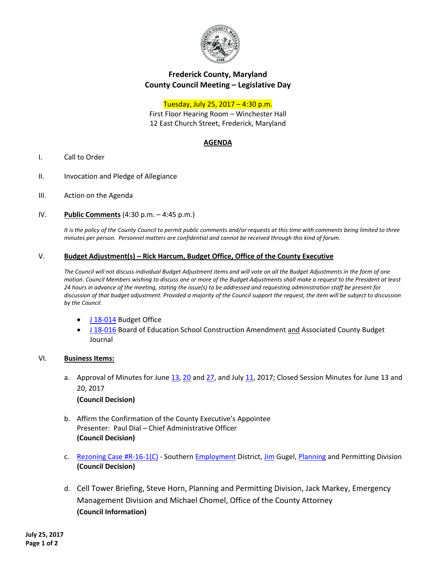

# **Frederick County, Maryland County Council Meeting – Legislative Day**

## Tuesday, July 25, 2017 – 4:30 p.m.

First Floor Hearing Room – Winchester Hall 12 East Church Street, Frederick, Maryland

## **AGENDA**

- I. Call to Order
- II. Invocation and Pledge of Allegiance
- III. Action on the Agenda
- IV. **Public Comments** (4:30 p.m. 4:45 p.m.)

*It is the policy of the County Council to permit public comments and/or requests at this time with comments being limited to three minutes per person. Personnel matters are confidential and cannot be received through this kind of forum.*

### V. **Budget Adjustment(s) – Rick Harcum, Budget Office, Office of the County Executive**

*The Council will not discuss individual Budget Adjustment items and will vote on all the Budget Adjustments in the form of one motion. Council Members wishing to discuss one or more of the Budget Adjustments shall make a request to the President at least 24 hours in advance of the meeting, stating the issue(s) to be addressed and requesting administration staff be present for discussion of that budget adjustment. Provided a majority of the Council support the request, the item will be subject to discussion by the Council.*

- [J 18-014](https://www.frederickcountymd.gov/DocumentCenter/View/299109) Budget Office
- [J 18-016](https://www.frederickcountymd.gov/DocumentCenter/View/299112) Board of Education School Construction Amendment and Associated County Budget Journal

#### VI. **Business Items:**

- a. Approval of Minutes for June [13,](https://www.frederickcountymd.gov/DocumentCenter/View/299097) [20](https://www.frederickcountymd.gov/DocumentCenter/View/299098) an[d 27,](https://www.frederickcountymd.gov/DocumentCenter/View/299099) and Jul[y 11,](https://www.frederickcountymd.gov/DocumentCenter/View/299101) 2017; Closed Session Minutes for June 13 and 20, 2017 **(Council Decision)**
- b. Affirm the Confirmation of the County Executive's Appointee Presenter: Paul Dial – Chief Administrative Officer **(Council Decision)**
- c. [Rezoning Case #R-16-1\(C\)](https://www.frederickcountymd.gov/DocumentCenter/View/299023) Southern [Employment](https://www.frederickcountymd.gov/DocumentCenter/View/299065) District, [Jim](https://www.frederickcountymd.gov/DocumentCenter/View/299135) Gugel, [Planning](https://www.frederickcountymd.gov/DocumentCenter/View/299067) and Permitting Division **(Council Decision)**
- d. Cell Tower Briefing, Steve Horn, Planning and Permitting Division, Jack Markey, Emergency Management Division and Michael Chomel, Office of the County Attorney **(Council Information)**